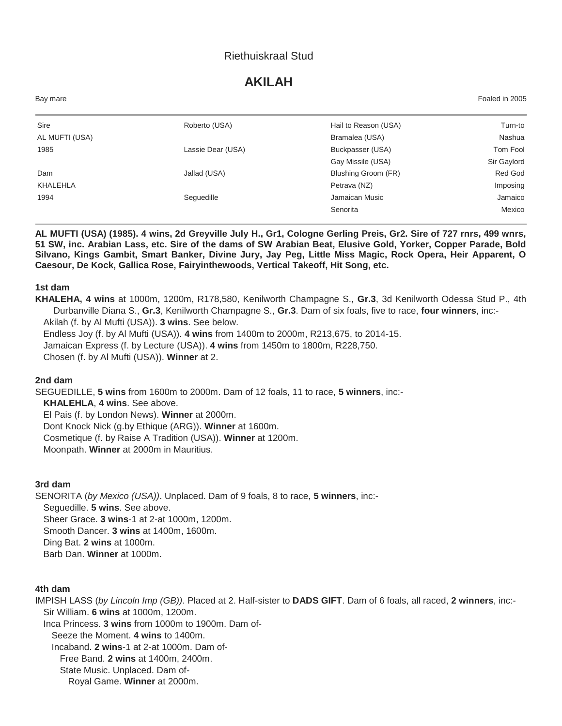# Riethuiskraal Stud

# **AKILAH**

| Bay mare       |                   |                      | Foaled in 2005 |
|----------------|-------------------|----------------------|----------------|
| Sire           | Roberto (USA)     | Hail to Reason (USA) | Turn-to        |
| AL MUFTI (USA) |                   | Bramalea (USA)       | Nashua         |
| 1985           | Lassie Dear (USA) | Buckpasser (USA)     | Tom Fool       |
|                |                   | Gay Missile (USA)    | Sir Gaylord    |
| Dam            | Jallad (USA)      | Blushing Groom (FR)  | Red God        |
| KHALEHLA       |                   | Petrava (NZ)         | Imposing       |
| 1994           | Seguedille        | Jamaican Music       | Jamaico        |
|                |                   | Senorita             | Mexico         |

**AL MUFTI (USA) (1985). 4 wins, 2d Greyville July H., Gr1, Cologne Gerling Preis, Gr2. Sire of 727 rnrs, 499 wnrs, 51 SW, inc. Arabian Lass, etc. Sire of the dams of SW Arabian Beat, Elusive Gold, Yorker, Copper Parade, Bold Silvano, Kings Gambit, Smart Banker, Divine Jury, Jay Peg, Little Miss Magic, Rock Opera, Heir Apparent, O Caesour, De Kock, Gallica Rose, Fairyinthewoods, Vertical Takeoff, Hit Song, etc.**

#### **1st dam**

**KHALEHA, 4 wins** at 1000m, 1200m, R178,580, Kenilworth Champagne S., **Gr.3**, 3d Kenilworth Odessa Stud P., 4th Durbanville Diana S., **Gr.3**, Kenilworth Champagne S., **Gr.3**. Dam of six foals, five to race, **four winners**, inc:- Akilah (f. by Al Mufti (USA)). **3 wins**. See below. Endless Joy (f. by Al Mufti (USA)). **4 wins** from 1400m to 2000m, R213,675, to 2014-15.

Jamaican Express (f. by Lecture (USA)). **4 wins** from 1450m to 1800m, R228,750.

Chosen (f. by Al Mufti (USA)). **Winner** at 2.

#### **2nd dam**

SEGUEDILLE, **5 wins** from 1600m to 2000m. Dam of 12 foals, 11 to race, **5 winners**, inc:- **KHALEHLA**, **4 wins**. See above. El Pais (f. by London News). **Winner** at 2000m. Dont Knock Nick (g.by Ethique (ARG)). **Winner** at 1600m. Cosmetique (f. by Raise A Tradition (USA)). **Winner** at 1200m.

Moonpath. **Winner** at 2000m in Mauritius.

### **3rd dam**

SENORITA (*by Mexico (USA))*. Unplaced. Dam of 9 foals, 8 to race, **5 winners**, inc:- Seguedille. **5 wins**. See above. Sheer Grace. **3 wins**-1 at 2-at 1000m, 1200m. Smooth Dancer. **3 wins** at 1400m, 1600m. Ding Bat. **2 wins** at 1000m. Barb Dan. **Winner** at 1000m.

#### **4th dam**

IMPISH LASS (*by Lincoln Imp (GB))*. Placed at 2. Half-sister to **DADS GIFT**. Dam of 6 foals, all raced, **2 winners**, inc:- Sir William. **6 wins** at 1000m, 1200m.

Inca Princess. **3 wins** from 1000m to 1900m. Dam of-Seeze the Moment. **4 wins** to 1400m. Incaband. **2 wins**-1 at 2-at 1000m. Dam of-

Free Band. **2 wins** at 1400m, 2400m.

State Music. Unplaced. Dam of-

Royal Game. **Winner** at 2000m.